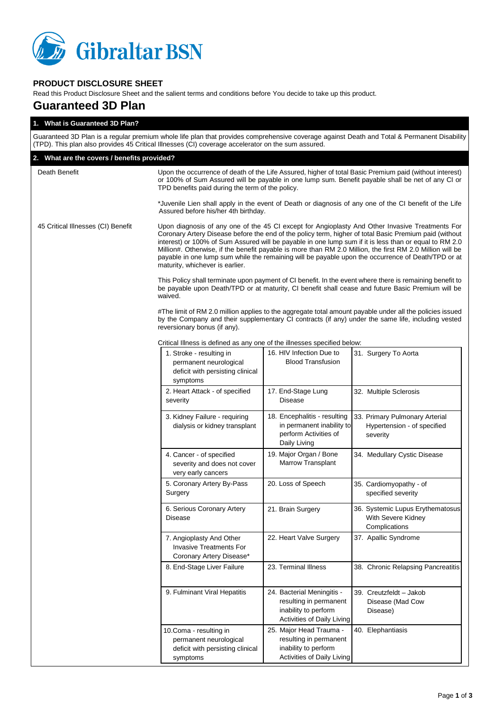

# **PRODUCT DISCLOSURE SHEET**

Read this Product Disclosure Sheet and the salient terms and conditions before You decide to take up this product.

# **Guaranteed 3D Plan**

| 1. What is Guaranteed 3D Plan?                                                                                                                                                                                                                    |                                                                                                                                                                                                                                                                                                                                                                                                                                                                                                                                                                           |                                                                                                            |                                                                           |  |  |
|---------------------------------------------------------------------------------------------------------------------------------------------------------------------------------------------------------------------------------------------------|---------------------------------------------------------------------------------------------------------------------------------------------------------------------------------------------------------------------------------------------------------------------------------------------------------------------------------------------------------------------------------------------------------------------------------------------------------------------------------------------------------------------------------------------------------------------------|------------------------------------------------------------------------------------------------------------|---------------------------------------------------------------------------|--|--|
| Guaranteed 3D Plan is a regular premium whole life plan that provides comprehensive coverage against Death and Total & Permanent Disability<br>(TPD). This plan also provides 45 Critical Illnesses (CI) coverage accelerator on the sum assured. |                                                                                                                                                                                                                                                                                                                                                                                                                                                                                                                                                                           |                                                                                                            |                                                                           |  |  |
| 2. What are the covers / benefits provided?                                                                                                                                                                                                       |                                                                                                                                                                                                                                                                                                                                                                                                                                                                                                                                                                           |                                                                                                            |                                                                           |  |  |
| Death Benefit                                                                                                                                                                                                                                     | Upon the occurrence of death of the Life Assured, higher of total Basic Premium paid (without interest)<br>or 100% of Sum Assured will be payable in one lump sum. Benefit payable shall be net of any CI or<br>TPD benefits paid during the term of the policy.                                                                                                                                                                                                                                                                                                          |                                                                                                            |                                                                           |  |  |
|                                                                                                                                                                                                                                                   | *Juvenile Lien shall apply in the event of Death or diagnosis of any one of the CI benefit of the Life<br>Assured before his/her 4th birthday.                                                                                                                                                                                                                                                                                                                                                                                                                            |                                                                                                            |                                                                           |  |  |
| 45 Critical Illnesses (CI) Benefit                                                                                                                                                                                                                | Upon diagnosis of any one of the 45 CI except for Angioplasty And Other Invasive Treatments For<br>Coronary Artery Disease before the end of the policy term, higher of total Basic Premium paid (without<br>interest) or 100% of Sum Assured will be payable in one lump sum if it is less than or equal to RM 2.0<br>Million#. Otherwise, if the benefit payable is more than RM 2.0 Million, the first RM 2.0 Million will be<br>payable in one lump sum while the remaining will be payable upon the occurrence of Death/TPD or at<br>maturity, whichever is earlier. |                                                                                                            |                                                                           |  |  |
|                                                                                                                                                                                                                                                   | This Policy shall terminate upon payment of CI benefit. In the event where there is remaining benefit to<br>be payable upon Death/TPD or at maturity, CI benefit shall cease and future Basic Premium will be<br>waived.                                                                                                                                                                                                                                                                                                                                                  |                                                                                                            |                                                                           |  |  |
|                                                                                                                                                                                                                                                   | #The limit of RM 2.0 million applies to the aggregate total amount payable under all the policies issued<br>by the Company and their supplementary CI contracts (if any) under the same life, including vested<br>reversionary bonus (if any).                                                                                                                                                                                                                                                                                                                            |                                                                                                            |                                                                           |  |  |
|                                                                                                                                                                                                                                                   | Critical Illness is defined as any one of the illnesses specified below:                                                                                                                                                                                                                                                                                                                                                                                                                                                                                                  |                                                                                                            |                                                                           |  |  |
|                                                                                                                                                                                                                                                   | 1. Stroke - resulting in<br>permanent neurological<br>deficit with persisting clinical<br>symptoms                                                                                                                                                                                                                                                                                                                                                                                                                                                                        | 16. HIV Infection Due to<br><b>Blood Transfusion</b>                                                       | 31. Surgery To Aorta                                                      |  |  |
|                                                                                                                                                                                                                                                   | 2. Heart Attack - of specified<br>severity                                                                                                                                                                                                                                                                                                                                                                                                                                                                                                                                | 17. End-Stage Lung<br><b>Disease</b>                                                                       | 32. Multiple Sclerosis                                                    |  |  |
|                                                                                                                                                                                                                                                   | 3. Kidney Failure - requiring<br>dialysis or kidney transplant                                                                                                                                                                                                                                                                                                                                                                                                                                                                                                            | 18. Encephalitis - resulting<br>in permanent inability to<br>perform Activities of<br>Daily Living         | 33. Primary Pulmonary Arterial<br>Hypertension - of specified<br>severity |  |  |
|                                                                                                                                                                                                                                                   | 4. Cancer - of specified<br>severity and does not cover<br>very early cancers                                                                                                                                                                                                                                                                                                                                                                                                                                                                                             | 19. Major Organ / Bone<br><b>Marrow Transplant</b>                                                         | 34. Medullary Cystic Disease                                              |  |  |
|                                                                                                                                                                                                                                                   | 5. Coronary Artery By-Pass<br>Surgery                                                                                                                                                                                                                                                                                                                                                                                                                                                                                                                                     | 20. Loss of Speech                                                                                         | 35. Cardiomyopathy - of<br>specified severity                             |  |  |
|                                                                                                                                                                                                                                                   | 6. Serious Coronary Artery<br><b>Disease</b>                                                                                                                                                                                                                                                                                                                                                                                                                                                                                                                              | 21. Brain Surgery                                                                                          | 36. Systemic Lupus Erythematosus<br>With Severe Kidney<br>Complications   |  |  |
|                                                                                                                                                                                                                                                   | 7. Angioplasty And Other<br><b>Invasive Treatments For</b><br>Coronary Artery Disease*                                                                                                                                                                                                                                                                                                                                                                                                                                                                                    | 22. Heart Valve Surgery                                                                                    | 37. Apallic Syndrome                                                      |  |  |
|                                                                                                                                                                                                                                                   | 8. End-Stage Liver Failure                                                                                                                                                                                                                                                                                                                                                                                                                                                                                                                                                | 23. Terminal Illness                                                                                       | 38. Chronic Relapsing Pancreatitis                                        |  |  |
|                                                                                                                                                                                                                                                   | 9. Fulminant Viral Hepatitis                                                                                                                                                                                                                                                                                                                                                                                                                                                                                                                                              | 24. Bacterial Meningitis -<br>resulting in permanent<br>inability to perform<br>Activities of Daily Living | 39. Creutzfeldt - Jakob<br>Disease (Mad Cow<br>Disease)                   |  |  |
|                                                                                                                                                                                                                                                   | 10.Coma - resulting in<br>permanent neurological<br>deficit with persisting clinical<br>symptoms                                                                                                                                                                                                                                                                                                                                                                                                                                                                          | 25. Major Head Trauma -<br>resulting in permanent<br>inability to perform<br>Activities of Daily Living    | 40. Elephantiasis                                                         |  |  |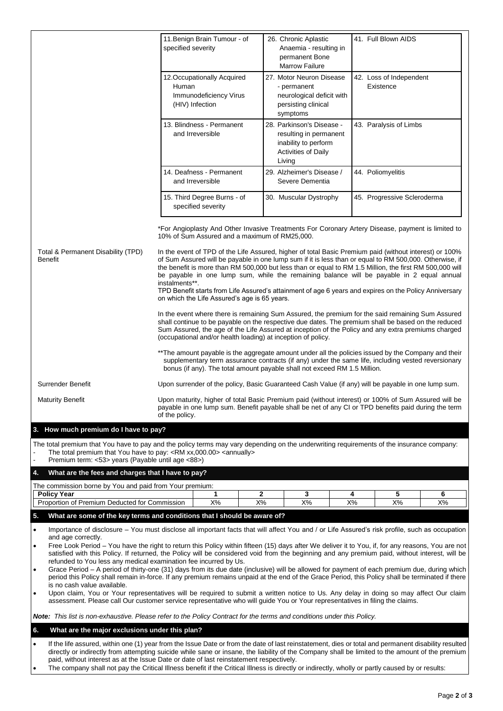|                                                                                                                                                                                                                                                                                                                                                                                                                                                                                                                                                                                  | 11. Benign Brain Tumour - of<br>specified severity                                                                                                                                                                                                                                                                                                                                                                                                                                                                                                                                                                                                                                                                                                          | 26. Chronic Aplastic<br>Anaemia - resulting in<br>permanent Bone                                                                 | 41. Full Blown AIDS                                                                                                                                                                                                                                                                                                                                                                                                                                                                                                          |  |  |
|----------------------------------------------------------------------------------------------------------------------------------------------------------------------------------------------------------------------------------------------------------------------------------------------------------------------------------------------------------------------------------------------------------------------------------------------------------------------------------------------------------------------------------------------------------------------------------|-------------------------------------------------------------------------------------------------------------------------------------------------------------------------------------------------------------------------------------------------------------------------------------------------------------------------------------------------------------------------------------------------------------------------------------------------------------------------------------------------------------------------------------------------------------------------------------------------------------------------------------------------------------------------------------------------------------------------------------------------------------|----------------------------------------------------------------------------------------------------------------------------------|------------------------------------------------------------------------------------------------------------------------------------------------------------------------------------------------------------------------------------------------------------------------------------------------------------------------------------------------------------------------------------------------------------------------------------------------------------------------------------------------------------------------------|--|--|
|                                                                                                                                                                                                                                                                                                                                                                                                                                                                                                                                                                                  | 12. Occupationally Acquired<br>Human<br>Immunodeficiency Virus<br>(HIV) Infection                                                                                                                                                                                                                                                                                                                                                                                                                                                                                                                                                                                                                                                                           | <b>Marrow Failure</b><br>27. Motor Neuron Disease<br>- permanent<br>neurological deficit with<br>persisting clinical<br>symptoms | 42. Loss of Independent<br>Existence                                                                                                                                                                                                                                                                                                                                                                                                                                                                                         |  |  |
|                                                                                                                                                                                                                                                                                                                                                                                                                                                                                                                                                                                  | 13. Blindness - Permanent<br>and Irreversible                                                                                                                                                                                                                                                                                                                                                                                                                                                                                                                                                                                                                                                                                                               | 28. Parkinson's Disease -<br>resulting in permanent<br>inability to perform<br><b>Activities of Daily</b><br>Living              | 43. Paralysis of Limbs                                                                                                                                                                                                                                                                                                                                                                                                                                                                                                       |  |  |
|                                                                                                                                                                                                                                                                                                                                                                                                                                                                                                                                                                                  | 14. Deafness - Permanent<br>and Irreversible                                                                                                                                                                                                                                                                                                                                                                                                                                                                                                                                                                                                                                                                                                                | 29. Alzheimer's Disease /<br>Severe Dementia                                                                                     | 44. Poliomyelitis                                                                                                                                                                                                                                                                                                                                                                                                                                                                                                            |  |  |
|                                                                                                                                                                                                                                                                                                                                                                                                                                                                                                                                                                                  | 15. Third Degree Burns - of<br>specified severity                                                                                                                                                                                                                                                                                                                                                                                                                                                                                                                                                                                                                                                                                                           | 30. Muscular Dystrophy                                                                                                           | 45. Progressive Scleroderma                                                                                                                                                                                                                                                                                                                                                                                                                                                                                                  |  |  |
| Total & Permanent Disability (TPD)<br><b>Benefit</b>                                                                                                                                                                                                                                                                                                                                                                                                                                                                                                                             | *For Angioplasty And Other Invasive Treatments For Coronary Artery Disease, payment is limited to<br>10% of Sum Assured and a maximum of RM25,000.<br>In the event of TPD of the Life Assured, higher of total Basic Premium paid (without interest) or 100%<br>of Sum Assured will be payable in one lump sum if it is less than or equal to RM 500,000. Otherwise, if<br>the benefit is more than RM 500,000 but less than or equal to RM 1.5 Million, the first RM 500,000 will<br>be payable in one lump sum, while the remaining balance will be payable in 2 equal annual<br>instalments**.<br>TPD Benefit starts from Life Assured's attainment of age 6 years and expires on the Policy Anniversary<br>on which the Life Assured's age is 65 years. |                                                                                                                                  |                                                                                                                                                                                                                                                                                                                                                                                                                                                                                                                              |  |  |
|                                                                                                                                                                                                                                                                                                                                                                                                                                                                                                                                                                                  | (occupational and/or health loading) at inception of policy.                                                                                                                                                                                                                                                                                                                                                                                                                                                                                                                                                                                                                                                                                                |                                                                                                                                  | In the event where there is remaining Sum Assured, the premium for the said remaining Sum Assured<br>shall continue to be payable on the respective due dates. The premium shall be based on the reduced<br>Sum Assured, the age of the Life Assured at inception of the Policy and any extra premiums charged<br>** The amount payable is the aggregate amount under all the policies issued by the Company and their<br>supplementary term assurance contracts (if any) under the same life, including vested reversionary |  |  |
| Surrender Benefit                                                                                                                                                                                                                                                                                                                                                                                                                                                                                                                                                                | bonus (if any). The total amount payable shall not exceed RM 1.5 Million.                                                                                                                                                                                                                                                                                                                                                                                                                                                                                                                                                                                                                                                                                   |                                                                                                                                  |                                                                                                                                                                                                                                                                                                                                                                                                                                                                                                                              |  |  |
| <b>Maturity Benefit</b>                                                                                                                                                                                                                                                                                                                                                                                                                                                                                                                                                          | Upon surrender of the policy, Basic Guaranteed Cash Value (if any) will be payable in one lump sum.<br>Upon maturity, higher of total Basic Premium paid (without interest) or 100% of Sum Assured will be<br>payable in one lump sum. Benefit payable shall be net of any CI or TPD benefits paid during the term<br>of the policy.                                                                                                                                                                                                                                                                                                                                                                                                                        |                                                                                                                                  |                                                                                                                                                                                                                                                                                                                                                                                                                                                                                                                              |  |  |
| 3. How much premium do I have to pay?                                                                                                                                                                                                                                                                                                                                                                                                                                                                                                                                            |                                                                                                                                                                                                                                                                                                                                                                                                                                                                                                                                                                                                                                                                                                                                                             |                                                                                                                                  |                                                                                                                                                                                                                                                                                                                                                                                                                                                                                                                              |  |  |
| The total premium that You have to pay and the policy terms may vary depending on the underwriting requirements of the insurance company:<br>The total premium that You have to pay: <rm xx,000.00=""> <annually><br/>Premium term: &lt;53&gt; years (Payable until age &lt;88&gt;)</annually></rm>                                                                                                                                                                                                                                                                              |                                                                                                                                                                                                                                                                                                                                                                                                                                                                                                                                                                                                                                                                                                                                                             |                                                                                                                                  |                                                                                                                                                                                                                                                                                                                                                                                                                                                                                                                              |  |  |
| 4.<br>What are the fees and charges that I have to pay?                                                                                                                                                                                                                                                                                                                                                                                                                                                                                                                          |                                                                                                                                                                                                                                                                                                                                                                                                                                                                                                                                                                                                                                                                                                                                                             |                                                                                                                                  |                                                                                                                                                                                                                                                                                                                                                                                                                                                                                                                              |  |  |
| The commission borne by You and paid from Your premium:<br><b>Policy Year</b>                                                                                                                                                                                                                                                                                                                                                                                                                                                                                                    | 1                                                                                                                                                                                                                                                                                                                                                                                                                                                                                                                                                                                                                                                                                                                                                           | 2<br>3                                                                                                                           | 5<br>4<br>6                                                                                                                                                                                                                                                                                                                                                                                                                                                                                                                  |  |  |
| Proportion of Premium Deducted for Commission                                                                                                                                                                                                                                                                                                                                                                                                                                                                                                                                    | $X\%$<br>$X\%$                                                                                                                                                                                                                                                                                                                                                                                                                                                                                                                                                                                                                                                                                                                                              | $X\%$                                                                                                                            | $X\%$<br>X%<br>X%                                                                                                                                                                                                                                                                                                                                                                                                                                                                                                            |  |  |
| 5.<br>What are some of the key terms and conditions that I should be aware of?                                                                                                                                                                                                                                                                                                                                                                                                                                                                                                   |                                                                                                                                                                                                                                                                                                                                                                                                                                                                                                                                                                                                                                                                                                                                                             |                                                                                                                                  |                                                                                                                                                                                                                                                                                                                                                                                                                                                                                                                              |  |  |
| Importance of disclosure - You must disclose all important facts that will affect You and / or Life Assured's risk profile, such as occupation<br>$\bullet$<br>and age correctly.<br>Free Look Period - You have the right to return this Policy within fifteen (15) days after We deliver it to You, if, for any reasons, You are not<br>$\bullet$<br>satisfied with this Policy. If returned, the Policy will be considered void from the beginning and any premium paid, without interest, will be<br>refunded to You less any medical examination fee incurred by Us.        |                                                                                                                                                                                                                                                                                                                                                                                                                                                                                                                                                                                                                                                                                                                                                             |                                                                                                                                  |                                                                                                                                                                                                                                                                                                                                                                                                                                                                                                                              |  |  |
| $\bullet$<br>is no cash value available.<br>$\bullet$<br>assessment. Please call Our customer service representative who will guide You or Your representatives in filing the claims.                                                                                                                                                                                                                                                                                                                                                                                            |                                                                                                                                                                                                                                                                                                                                                                                                                                                                                                                                                                                                                                                                                                                                                             |                                                                                                                                  | Grace Period - A period of thirty-one (31) days from its due date (inclusive) will be allowed for payment of each premium due, during which<br>period this Policy shall remain in-force. If any premium remains unpaid at the end of the Grace Period, this Policy shall be terminated if there<br>Upon claim, You or Your representatives will be required to submit a written notice to Us. Any delay in doing so may affect Our claim                                                                                     |  |  |
| Note: This list is non-exhaustive. Please refer to the Policy Contract for the terms and conditions under this Policy.                                                                                                                                                                                                                                                                                                                                                                                                                                                           |                                                                                                                                                                                                                                                                                                                                                                                                                                                                                                                                                                                                                                                                                                                                                             |                                                                                                                                  |                                                                                                                                                                                                                                                                                                                                                                                                                                                                                                                              |  |  |
| 6.<br>What are the major exclusions under this plan?                                                                                                                                                                                                                                                                                                                                                                                                                                                                                                                             |                                                                                                                                                                                                                                                                                                                                                                                                                                                                                                                                                                                                                                                                                                                                                             |                                                                                                                                  |                                                                                                                                                                                                                                                                                                                                                                                                                                                                                                                              |  |  |
| If the life assured, within one (1) year from the Issue Date or from the date of last reinstatement, dies or total and permanent disability resulted<br>$\bullet$<br>directly or indirectly from attempting suicide while sane or insane, the liability of the Company shall be limited to the amount of the premium<br>paid, without interest as at the Issue Date or date of last reinstatement respectively.<br>The company shall not pay the Critical Illness benefit if the Critical Illness is directly or indirectly, wholly or partly caused by or results:<br>$\bullet$ |                                                                                                                                                                                                                                                                                                                                                                                                                                                                                                                                                                                                                                                                                                                                                             |                                                                                                                                  |                                                                                                                                                                                                                                                                                                                                                                                                                                                                                                                              |  |  |
|                                                                                                                                                                                                                                                                                                                                                                                                                                                                                                                                                                                  |                                                                                                                                                                                                                                                                                                                                                                                                                                                                                                                                                                                                                                                                                                                                                             |                                                                                                                                  |                                                                                                                                                                                                                                                                                                                                                                                                                                                                                                                              |  |  |